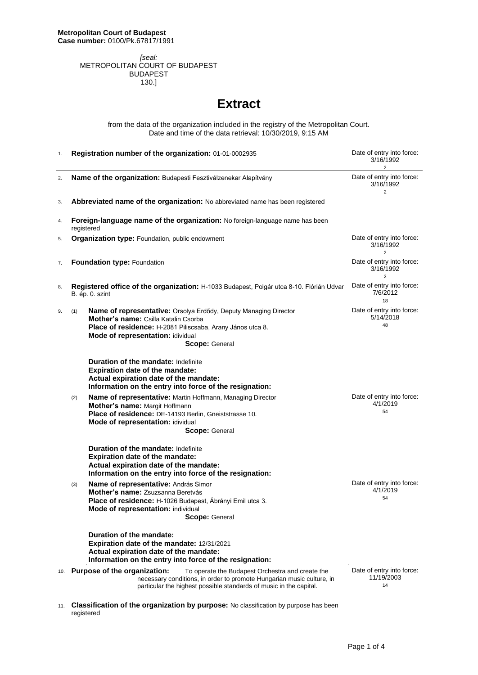*[seal:* METROPOLITAN COURT OF BUDAPEST BUDAPEST 130.]

## **Extract**

from the data of the organization included in the registry of the Metropolitan Court. Date and time of the data retrieval: 10/30/2019, 9:15 AM

| 1.  | Registration number of the organization: 01-01-0002935                                                                                                                                                                               | Date of entry into force:<br>3/16/1992<br>$\overline{2}$                                                             |
|-----|--------------------------------------------------------------------------------------------------------------------------------------------------------------------------------------------------------------------------------------|----------------------------------------------------------------------------------------------------------------------|
| 2.  | Name of the organization: Budapesti Fesztiválzenekar Alapítvány                                                                                                                                                                      | Date of entry into force:<br>3/16/1992<br>$\overline{2}$                                                             |
| 3.  | Abbreviated name of the organization: No abbreviated name has been registered                                                                                                                                                        | Date of entry into force:<br>3/16/1992<br>$\overline{2}$<br>Date of entry into force:<br>3/16/1992<br>$\overline{2}$ |
| 4.  | Foreign-language name of the organization: No foreign-language name has been<br>registered                                                                                                                                           |                                                                                                                      |
| 5.  | Organization type: Foundation, public endowment                                                                                                                                                                                      |                                                                                                                      |
| 7.  | Foundation type: Foundation                                                                                                                                                                                                          |                                                                                                                      |
| 8.  | Registered office of the organization: H-1033 Budapest, Polgár utca 8-10. Flórián Udvar<br>B. ép. 0. szint                                                                                                                           | Date of entry into force:<br>7/6/2012<br>18                                                                          |
| 9.  | Name of representative: Orsolya Erdődy, Deputy Managing Director<br>(1)<br>Mother's name: Csilla Katalin Csorba<br>Place of residence: H-2081 Piliscsaba, Arany János utca 8.<br>Mode of representation: idividual<br>Scope: General | Date of entry into force:<br>5/14/2018<br>48                                                                         |
|     | <b>Duration of the mandate: Indefinite</b><br><b>Expiration date of the mandate:</b><br>Actual expiration date of the mandate:<br>Information on the entry into force of the resignation:                                            |                                                                                                                      |
|     | Name of representative: Martin Hoffmann, Managing Director<br>(2)<br>Mother's name: Margit Hoffmann<br>Place of residence: DE-14193 Berlin, Gneiststrasse 10.<br>Mode of representation: idividual<br><b>Scope: General</b>          | Date of entry into force:<br>4/1/2019<br>54                                                                          |
|     | <b>Duration of the mandate: Indefinite</b><br><b>Expiration date of the mandate:</b><br>Actual expiration date of the mandate:<br>Information on the entry into force of the resignation:                                            |                                                                                                                      |
|     | Name of representative: András Simor<br>(3)<br>Mother's name: Zsuzsanna Beretvás<br>Place of residence: H-1026 Budapest, Ábrányi Emil utca 3.<br><b>Mode of representation: individual</b><br><b>Scope:</b> General                  | Date of entry into force:<br>4/1/2019<br>54                                                                          |
|     | Duration of the mandate:<br>Expiration date of the mandate: 12/31/2021<br>Actual expiration date of the mandate:<br>Information on the entry into force of the resignation:                                                          |                                                                                                                      |
| 10. | Purpose of the organization:<br>To operate the Budapest Orchestra and create the<br>necessary conditions, in order to promote Hungarian music culture, in<br>particular the highest possible standards of music in the capital.      | Date of entry into force:<br>11/19/2003<br>14                                                                        |

11. **Classification of the organization by purpose:** No classification by purpose has been registered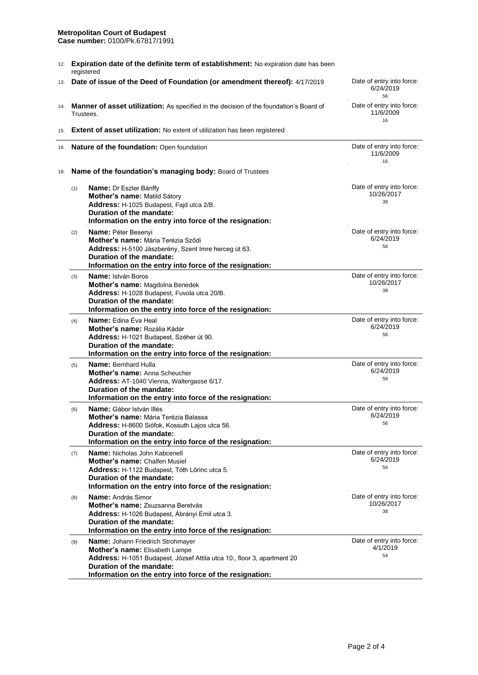## **Metropolitan Court of Budapest**

**Case number:** 0100/Pk.67817/1991

| 12. | Expiration date of the definite term of establishment: No expiration date has been<br>registered |                                                                                                                                                                                                                                              |                                               |  |  |
|-----|--------------------------------------------------------------------------------------------------|----------------------------------------------------------------------------------------------------------------------------------------------------------------------------------------------------------------------------------------------|-----------------------------------------------|--|--|
| 13. |                                                                                                  | Date of issue of the Deed of Foundation (or amendment thereof): 4/17/2019                                                                                                                                                                    | Date of entry into force:<br>6/24/2019<br>56  |  |  |
| 14. |                                                                                                  | <b>Manner of asset utilization:</b> As specified in the decision of the foundation's Board of<br>Trustees.                                                                                                                                   | Date of entry into force:<br>11/6/2009<br>16  |  |  |
| 15. |                                                                                                  | <b>Extent of asset utilization:</b> No extent of utilization has been registered                                                                                                                                                             |                                               |  |  |
| 16. |                                                                                                  | Nature of the foundation: Open foundation                                                                                                                                                                                                    | Date of entry into force:<br>11/6/2009<br>16  |  |  |
| 18. | Name of the foundation's managing body: Board of Trustees                                        |                                                                                                                                                                                                                                              |                                               |  |  |
|     | (1)                                                                                              | <b>Name:</b> Dr Eszter Bánffy<br>Mother's name: Matild Sátory<br>Address: H-1025 Budapest, Fajd utca 2/B.<br>Duration of the mandate:<br>Information on the entry into force of the resignation:                                             | Date of entry into force:<br>10/26/2017<br>38 |  |  |
|     | (2)                                                                                              | Name: Péter Besenyi<br>Mother's name: Mária Terézia Sződi<br>Address: H-5100 Jászberény, Szent Imre herceg út 63.<br>Duration of the mandate:<br>Information on the entry into force of the resignation:                                     | Date of entry into force:<br>6/24/2019<br>56  |  |  |
|     | (3)                                                                                              | <b>Name:</b> István Boros<br>Mother's name: Magdolna Benedek<br>Address: H-1028 Budapest, Fuvola utca 20/B.<br>Duration of the mandate:<br>Information on the entry into force of the resignation:                                           | Date of entry into force:<br>10/26/2017<br>38 |  |  |
|     | (4)                                                                                              | <b>Name:</b> Edina Éva Heal<br>Mother's name: Rozália Kádár<br>Address: H-1021 Budapest, Széher út 90.<br>Duration of the mandate:<br>Information on the entry into force of the resignation:                                                | Date of entry into force:<br>6/24/2019<br>56  |  |  |
|     | (5)                                                                                              | Name: Bernhard Hulla<br>Mother's name: Anna Scheucher<br>Address: AT-1040 Vienna, Waltergasse 6/17.<br>Duration of the mandate:<br>Information on the entry into force of the resignation:                                                   | Date of entry into force:<br>6/24/2019<br>56  |  |  |
|     | (6)                                                                                              | <b>Name:</b> Gábor István Illés<br>Mother's name: Mária Terézia Balassa<br>Address: H-8600 Siófok, Kossuth Lajos utca 56.<br>Duration of the mandate:<br>Information on the entry into force of the resignation:                             | Date of entry into force:<br>6/24/2019<br>56  |  |  |
|     | (7)                                                                                              | Name: Nicholas John Kabcenell<br>Mother's name: Chalfen Musiel<br>Address: H-1122 Budapest, Tóth Lőrinc utca 5.<br>Duration of the mandate:<br>Information on the entry into force of the resignation:                                       | Date of entry into force:<br>6/24/2019<br>56  |  |  |
|     | (8)                                                                                              | Name: András Simor<br>Mother's name: Zsuzsanna Beretvás<br>Address: H-1026 Budapest, Ábrányi Emil utca 3.<br>Duration of the mandate:<br>Information on the entry into force of the resignation:                                             | Date of entry into force:<br>10/26/2017<br>38 |  |  |
|     | (9)                                                                                              | <b>Name: Johann Friedrich Strohmayer</b><br>Mother's name: Elisabeth Lampe<br>Address: H-1051 Budapest, József Attila utca 10., floor 3, apartment 20<br>Duration of the mandate:<br>Information on the entry into force of the resignation: | Date of entry into force:<br>4/1/2019<br>54   |  |  |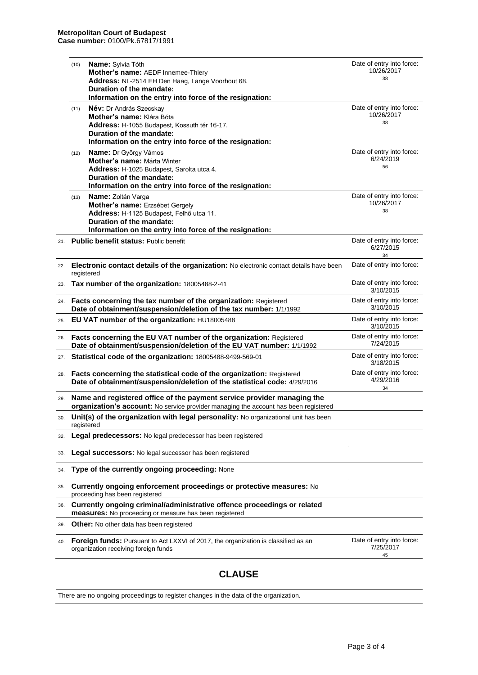|     |                                                                                                                                                                 | Duration of the mandate:<br>Information on the entry into force of the resignation:                                                                                                             |                                               |
|-----|-----------------------------------------------------------------------------------------------------------------------------------------------------------------|-------------------------------------------------------------------------------------------------------------------------------------------------------------------------------------------------|-----------------------------------------------|
|     | (11)                                                                                                                                                            | Név: Dr András Szecskay<br>Mother's name: Klára Bóta<br>Address: H-1055 Budapest, Kossuth tér 16-17.<br>Duration of the mandate:<br>Information on the entry into force of the resignation:     | Date of entry into force:<br>10/26/2017<br>38 |
|     | (12)                                                                                                                                                            | Name: Dr György Vámos<br>Mother's name: Márta Winter<br>Address: H-1025 Budapest, Sarolta utca 4.<br>Duration of the mandate:<br>Information on the entry into force of the resignation:        | Date of entry into force:<br>6/24/2019<br>56  |
|     | (13)                                                                                                                                                            | <b>Name:</b> Zoltán Varga<br>Mother's name: Erzsébet Gergely<br>Address: H-1125 Budapest, Felhő utca 11.<br>Duration of the mandate:<br>Information on the entry into force of the resignation: | Date of entry into force:<br>10/26/2017<br>38 |
| 21. |                                                                                                                                                                 | <b>Public benefit status: Public benefit</b>                                                                                                                                                    | Date of entry into force:<br>6/27/2015<br>34  |
| 22. |                                                                                                                                                                 | Electronic contact details of the organization: No electronic contact details have been<br>registered                                                                                           | Date of entry into force:                     |
| 23. |                                                                                                                                                                 | Tax number of the organization: 18005488-2-41                                                                                                                                                   | Date of entry into force:<br>3/10/2015        |
| 24. | Facts concerning the tax number of the organization: Registered<br>Date of obtainment/suspension/deletion of the tax number: 1/1/1992                           |                                                                                                                                                                                                 | Date of entry into force:<br>3/10/2015        |
| 25. | EU VAT number of the organization: HU18005488                                                                                                                   |                                                                                                                                                                                                 | Date of entry into force:<br>3/10/2015        |
| 26. | Facts concerning the EU VAT number of the organization: Registered<br>Date of obtainment/suspension/deletion of the EU VAT number: 1/1/1992                     |                                                                                                                                                                                                 | Date of entry into force:<br>7/24/2015        |
| 27. |                                                                                                                                                                 | Statistical code of the organization: 18005488-9499-569-01                                                                                                                                      | Date of entry into force:<br>3/18/2015        |
| 28. | Facts concerning the statistical code of the organization: Registered<br>Date of obtainment/suspension/deletion of the statistical code: 4/29/2016              |                                                                                                                                                                                                 | Date of entry into force:<br>4/29/2016<br>34  |
| 29. | Name and registered office of the payment service provider managing the<br>organization's account: No service provider managing the account has been registered |                                                                                                                                                                                                 |                                               |
| 30. |                                                                                                                                                                 | Unit(s) of the organization with legal personality: No organizational unit has been<br>registered                                                                                               |                                               |
| 32. |                                                                                                                                                                 | Legal predecessors: No legal predecessor has been registered                                                                                                                                    |                                               |
| 33. |                                                                                                                                                                 | Legal successors: No legal successor has been registered                                                                                                                                        |                                               |
| 34. |                                                                                                                                                                 | Type of the currently ongoing proceeding: None                                                                                                                                                  |                                               |
| 35. |                                                                                                                                                                 | Currently ongoing enforcement proceedings or protective measures: No<br>proceeding has been registered                                                                                          |                                               |
| 36. |                                                                                                                                                                 | Currently ongoing criminal/administrative offence proceedings or related<br>measures: No proceeding or measure has been registered                                                              |                                               |
| 39. |                                                                                                                                                                 | Other: No other data has been registered                                                                                                                                                        |                                               |
| 40. |                                                                                                                                                                 | Foreign funds: Pursuant to Act LXXVI of 2017, the organization is classified as an<br>organization receiving foreign funds                                                                      | Date of entry into force:<br>7/25/2017<br>45  |

## **CLAUSE**

There are no ongoing proceedings to register changes in the data of the organization.